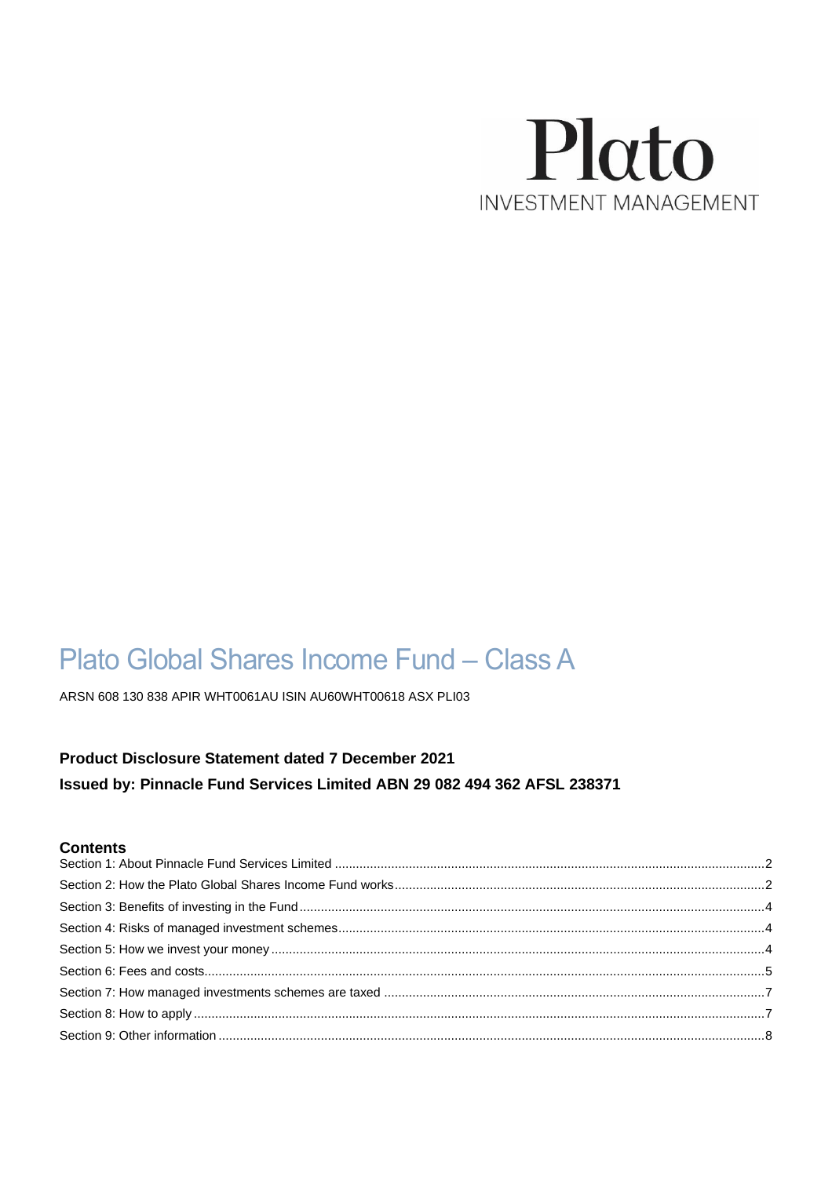

# Plato Global Shares Income Fund - Class A

ARSN 608 130 838 APIR WHT0061AU ISIN AU60WHT00618 ASX PLI03

# Product Disclosure Statement dated 7 December 2021 Issued by: Pinnacle Fund Services Limited ABN 29 082 494 362 AFSL 238371

## **Contents**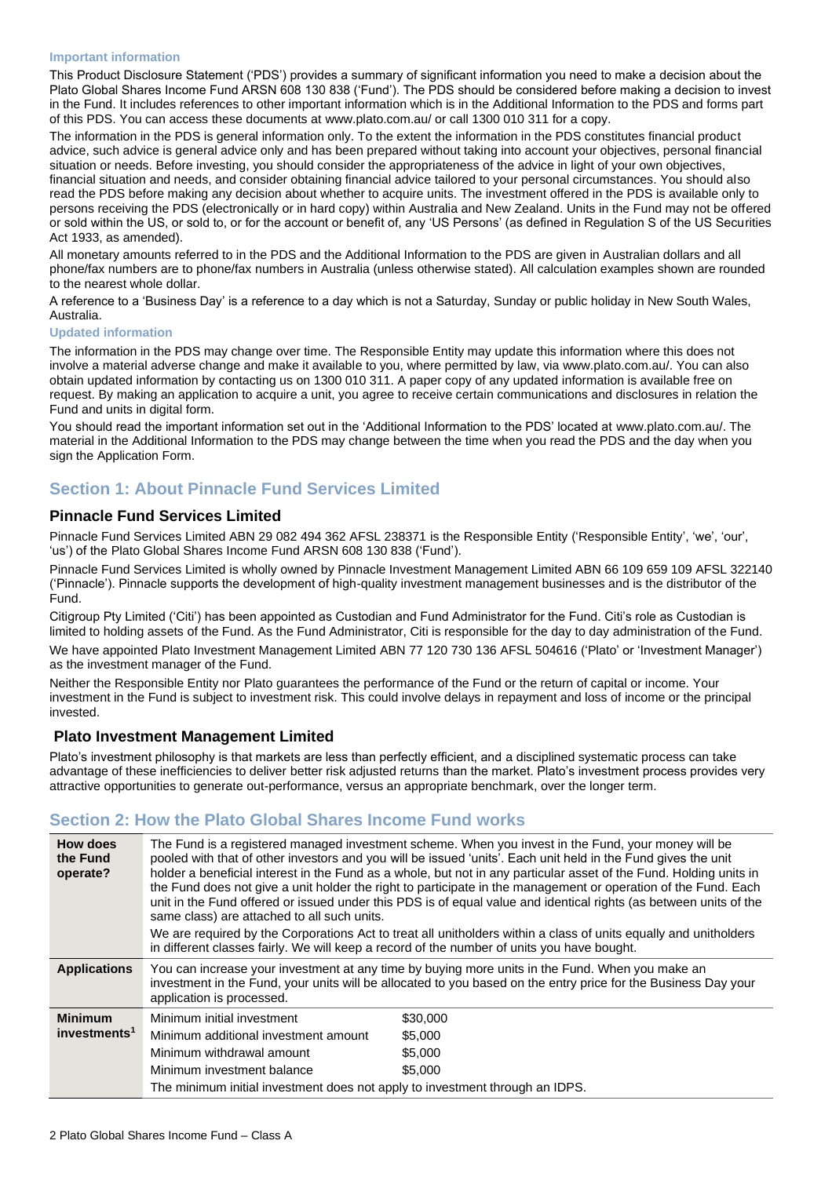#### **Important information**

This Product Disclosure Statement ('PDS') provides a summary of significant information you need to make a decision about the Plato Global Shares Income Fund ARSN 608 130 838 ('Fund'). The PDS should be considered before making a decision to invest in the Fund. It includes references to other important information which is in the Additional Information to the PDS and forms part of this PDS. You can access these documents at [www.plato.](http://www.plato/)com.au/ or call 1300 010 311 for a copy.

The information in the PDS is general information only. To the extent the information in the PDS constitutes financial product advice, such advice is general advice only and has been prepared without taking into account your objectives, personal financial situation or needs. Before investing, you should consider the appropriateness of the advice in light of your own objectives, financial situation and needs, and consider obtaining financial advice tailored to your personal circumstances. You should also read the PDS before making any decision about whether to acquire units. The investment offered in the PDS is available only to persons receiving the PDS (electronically or in hard copy) within Australia and New Zealand. Units in the Fund may not be offered or sold within the US, or sold to, or for the account or benefit of, any 'US Persons' (as defined in Regulation S of the US Securities Act 1933, as amended).

All monetary amounts referred to in the PDS and the Additional Information to the PDS are given in Australian dollars and all phone/fax numbers are to phone/fax numbers in Australia (unless otherwise stated). All calculation examples shown are rounded to the nearest whole dollar.

A reference to a 'Business Day' is a reference to a day which is not a Saturday, Sunday or public holiday in New South Wales, Australia.

#### **Updated information**

The information in the PDS may change over time. The Responsible Entity may update this information where this does not involve a material adverse change and make it available to you, where permitted by law, via [www.plato.](http://www.plato/)com.au/. You can also obtain updated information by contacting us on 1300 010 311. A paper copy of any updated information is available free on request. By making an application to acquire a unit, you agree to receive certain communications and disclosures in relation the Fund and units in digital form.

You should read the important information set out in the 'Additional Information to the PDS' located at [www.plato.](http://www.plato/)com.au/. The material in the Additional Information to the PDS may change between the time when you read the PDS and the day when you sign the Application Form.

# <span id="page-1-0"></span>**Section 1: About Pinnacle Fund Services Limited**

## **Pinnacle Fund Services Limited**

Pinnacle Fund Services Limited ABN 29 082 494 362 AFSL 238371 is the Responsible Entity ('Responsible Entity', 'we', 'our', 'us') of the Plato Global Shares Income Fund ARSN 608 130 838 ('Fund').

Pinnacle Fund Services Limited is wholly owned by Pinnacle Investment Management Limited ABN 66 109 659 109 AFSL 322140 ('Pinnacle'). Pinnacle supports the development of high-quality investment management businesses and is the distributor of the Fund.

Citigroup Pty Limited ('Citi') has been appointed as Custodian and Fund Administrator for the Fund. Citi's role as Custodian is limited to holding assets of the Fund. As the Fund Administrator, Citi is responsible for the day to day administration of the Fund. We have appointed Plato Investment Management Limited ABN 77 120 730 136 AFSL 504616 ('Plato' or 'Investment Manager') as the investment manager of the Fund.

Neither the Responsible Entity nor Plato guarantees the performance of the Fund or the return of capital or income. Your investment in the Fund is subject to investment risk. This could involve delays in repayment and loss of income or the principal invested.

#### **Plato Investment Management Limited**

Plato's investment philosophy is that markets are less than perfectly efficient, and a disciplined systematic process can take advantage of these inefficiencies to deliver better risk adjusted returns than the market. Plato's investment process provides very attractive opportunities to generate out-performance, versus an appropriate benchmark, over the longer term.

# <span id="page-1-1"></span>**Section 2: How the Plato Global Shares Income Fund works**

| How does<br>the Fund<br>operate? | same class) are attached to all such units.                                  | The Fund is a registered managed investment scheme. When you invest in the Fund, your money will be<br>pooled with that of other investors and you will be issued 'units'. Each unit held in the Fund gives the unit<br>holder a beneficial interest in the Fund as a whole, but not in any particular asset of the Fund. Holding units in<br>the Fund does not give a unit holder the right to participate in the management or operation of the Fund. Each<br>unit in the Fund offered or issued under this PDS is of equal value and identical rights (as between units of the<br>We are required by the Corporations Act to treat all unitholders within a class of units equally and unitholders<br>in different classes fairly. We will keep a record of the number of units you have bought. |
|----------------------------------|------------------------------------------------------------------------------|-----------------------------------------------------------------------------------------------------------------------------------------------------------------------------------------------------------------------------------------------------------------------------------------------------------------------------------------------------------------------------------------------------------------------------------------------------------------------------------------------------------------------------------------------------------------------------------------------------------------------------------------------------------------------------------------------------------------------------------------------------------------------------------------------------|
| <b>Applications</b>              | application is processed.                                                    | You can increase your investment at any time by buying more units in the Fund. When you make an<br>investment in the Fund, your units will be allocated to you based on the entry price for the Business Day your                                                                                                                                                                                                                                                                                                                                                                                                                                                                                                                                                                                   |
| <b>Minimum</b>                   | Minimum initial investment                                                   | \$30,000                                                                                                                                                                                                                                                                                                                                                                                                                                                                                                                                                                                                                                                                                                                                                                                            |
| investments <sup>1</sup>         | Minimum additional investment amount                                         | \$5,000                                                                                                                                                                                                                                                                                                                                                                                                                                                                                                                                                                                                                                                                                                                                                                                             |
|                                  | Minimum withdrawal amount                                                    | \$5,000                                                                                                                                                                                                                                                                                                                                                                                                                                                                                                                                                                                                                                                                                                                                                                                             |
|                                  | Minimum investment balance                                                   | \$5,000                                                                                                                                                                                                                                                                                                                                                                                                                                                                                                                                                                                                                                                                                                                                                                                             |
|                                  | The minimum initial investment does not apply to investment through an IDPS. |                                                                                                                                                                                                                                                                                                                                                                                                                                                                                                                                                                                                                                                                                                                                                                                                     |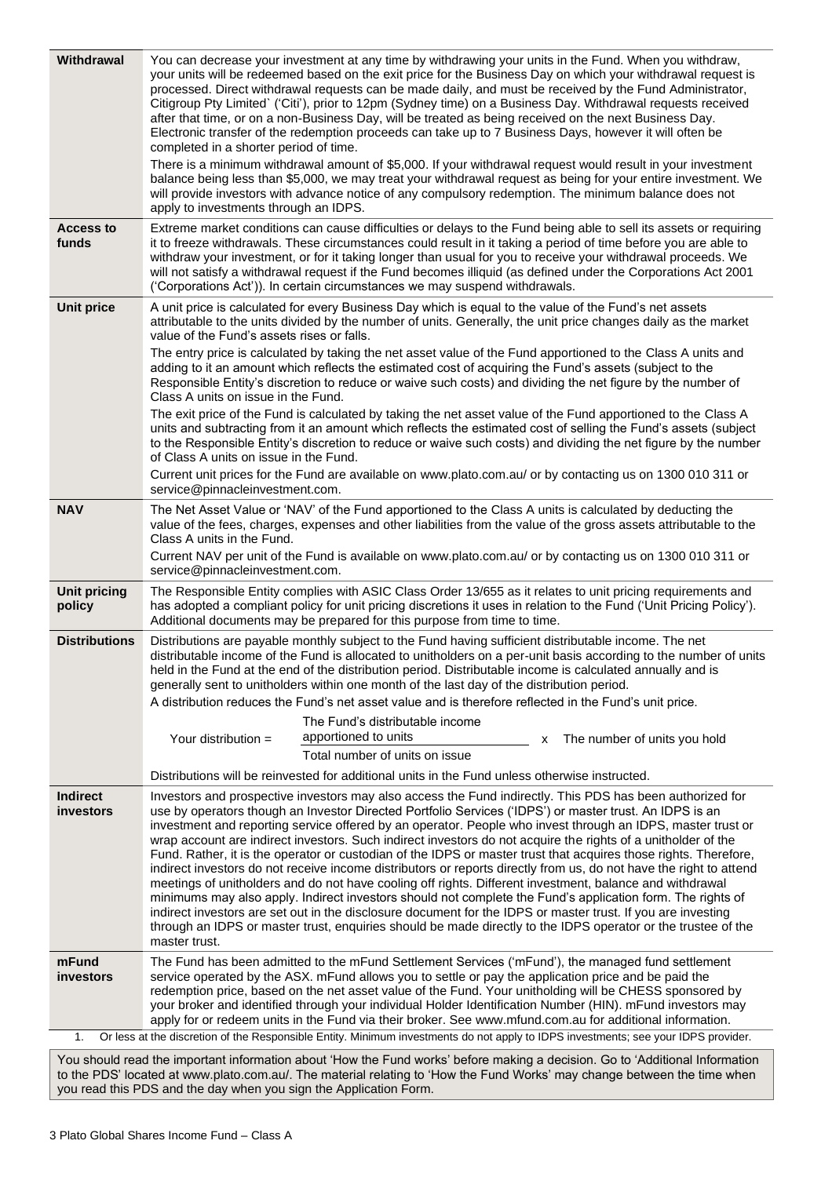| Withdrawal                    | You can decrease your investment at any time by withdrawing your units in the Fund. When you withdraw,<br>your units will be redeemed based on the exit price for the Business Day on which your withdrawal request is<br>processed. Direct withdrawal requests can be made daily, and must be received by the Fund Administrator,<br>Citigroup Pty Limited` ('Citi'), prior to 12pm (Sydney time) on a Business Day. Withdrawal requests received<br>after that time, or on a non-Business Day, will be treated as being received on the next Business Day.<br>Electronic transfer of the redemption proceeds can take up to 7 Business Days, however it will often be<br>completed in a shorter period of time.<br>There is a minimum withdrawal amount of \$5,000. If your withdrawal request would result in your investment<br>balance being less than \$5,000, we may treat your withdrawal request as being for your entire investment. We<br>will provide investors with advance notice of any compulsory redemption. The minimum balance does not<br>apply to investments through an IDPS.                                                                                                        |
|-------------------------------|------------------------------------------------------------------------------------------------------------------------------------------------------------------------------------------------------------------------------------------------------------------------------------------------------------------------------------------------------------------------------------------------------------------------------------------------------------------------------------------------------------------------------------------------------------------------------------------------------------------------------------------------------------------------------------------------------------------------------------------------------------------------------------------------------------------------------------------------------------------------------------------------------------------------------------------------------------------------------------------------------------------------------------------------------------------------------------------------------------------------------------------------------------------------------------------------------------|
| <b>Access to</b><br>funds     | Extreme market conditions can cause difficulties or delays to the Fund being able to sell its assets or requiring<br>it to freeze withdrawals. These circumstances could result in it taking a period of time before you are able to<br>withdraw your investment, or for it taking longer than usual for you to receive your withdrawal proceeds. We<br>will not satisfy a withdrawal request if the Fund becomes illiquid (as defined under the Corporations Act 2001<br>('Corporations Act')). In certain circumstances we may suspend withdrawals.                                                                                                                                                                                                                                                                                                                                                                                                                                                                                                                                                                                                                                                      |
| <b>Unit price</b>             | A unit price is calculated for every Business Day which is equal to the value of the Fund's net assets<br>attributable to the units divided by the number of units. Generally, the unit price changes daily as the market<br>value of the Fund's assets rises or falls.<br>The entry price is calculated by taking the net asset value of the Fund apportioned to the Class A units and<br>adding to it an amount which reflects the estimated cost of acquiring the Fund's assets (subject to the<br>Responsible Entity's discretion to reduce or waive such costs) and dividing the net figure by the number of<br>Class A units on issue in the Fund.<br>The exit price of the Fund is calculated by taking the net asset value of the Fund apportioned to the Class A<br>units and subtracting from it an amount which reflects the estimated cost of selling the Fund's assets (subject<br>to the Responsible Entity's discretion to reduce or waive such costs) and dividing the net figure by the number<br>of Class A units on issue in the Fund.<br>Current unit prices for the Fund are available on www.plato.com.au/ or by contacting us on 1300 010 311 or<br>service@pinnacleinvestment.com. |
| <b>NAV</b>                    | The Net Asset Value or 'NAV' of the Fund apportioned to the Class A units is calculated by deducting the<br>value of the fees, charges, expenses and other liabilities from the value of the gross assets attributable to the<br>Class A units in the Fund.<br>Current NAV per unit of the Fund is available on www.plato.com.au/ or by contacting us on 1300 010 311 or<br>service@pinnacleinvestment.com.                                                                                                                                                                                                                                                                                                                                                                                                                                                                                                                                                                                                                                                                                                                                                                                                |
| <b>Unit pricing</b><br>policy | The Responsible Entity complies with ASIC Class Order 13/655 as it relates to unit pricing requirements and<br>has adopted a compliant policy for unit pricing discretions it uses in relation to the Fund ('Unit Pricing Policy').<br>Additional documents may be prepared for this purpose from time to time.                                                                                                                                                                                                                                                                                                                                                                                                                                                                                                                                                                                                                                                                                                                                                                                                                                                                                            |
| <b>Distributions</b>          | Distributions are payable monthly subject to the Fund having sufficient distributable income. The net<br>distributable income of the Fund is allocated to unitholders on a per-unit basis according to the number of units<br>held in the Fund at the end of the distribution period. Distributable income is calculated annually and is<br>generally sent to unitholders within one month of the last day of the distribution period.<br>A distribution reduces the Fund's net asset value and is therefore reflected in the Fund's unit price.<br>The Fund's distributable income<br>apportioned to units<br>Your distribution $=$<br>The number of units you hold<br>х<br>Total number of units on issue<br>Distributions will be reinvested for additional units in the Fund unless otherwise instructed.                                                                                                                                                                                                                                                                                                                                                                                              |
| <b>Indirect</b>               | Investors and prospective investors may also access the Fund indirectly. This PDS has been authorized for                                                                                                                                                                                                                                                                                                                                                                                                                                                                                                                                                                                                                                                                                                                                                                                                                                                                                                                                                                                                                                                                                                  |
| <b>investors</b>              | use by operators though an Investor Directed Portfolio Services ('IDPS') or master trust. An IDPS is an<br>investment and reporting service offered by an operator. People who invest through an IDPS, master trust or<br>wrap account are indirect investors. Such indirect investors do not acquire the rights of a unitholder of the<br>Fund. Rather, it is the operator or custodian of the IDPS or master trust that acquires those rights. Therefore,<br>indirect investors do not receive income distributors or reports directly from us, do not have the right to attend<br>meetings of unitholders and do not have cooling off rights. Different investment, balance and withdrawal<br>minimums may also apply. Indirect investors should not complete the Fund's application form. The rights of<br>indirect investors are set out in the disclosure document for the IDPS or master trust. If you are investing<br>through an IDPS or master trust, enquiries should be made directly to the IDPS operator or the trustee of the<br>master trust.                                                                                                                                              |
| mFund<br><b>investors</b>     | The Fund has been admitted to the mFund Settlement Services ('mFund'), the managed fund settlement<br>service operated by the ASX. mFund allows you to settle or pay the application price and be paid the<br>redemption price, based on the net asset value of the Fund. Your unitholding will be CHESS sponsored by<br>your broker and identified through your individual Holder Identification Number (HIN). mFund investors may<br>apply for or redeem units in the Fund via their broker. See www.mfund.com.au for additional information.                                                                                                                                                                                                                                                                                                                                                                                                                                                                                                                                                                                                                                                            |
| 1.                            | Or less at the discretion of the Responsible Entity. Minimum investments do not apply to IDPS investments; see your IDPS provider.                                                                                                                                                                                                                                                                                                                                                                                                                                                                                                                                                                                                                                                                                                                                                                                                                                                                                                                                                                                                                                                                         |
|                               |                                                                                                                                                                                                                                                                                                                                                                                                                                                                                                                                                                                                                                                                                                                                                                                                                                                                                                                                                                                                                                                                                                                                                                                                            |

You should read the important information about 'How the Fund works' before making a decision. Go to 'Additional Information to the PDS' located a[t www.plato.](http://www.plato/)com.au/. The material relating to 'How the Fund Works' may change between the time when you read this PDS and the day when you sign the Application Form.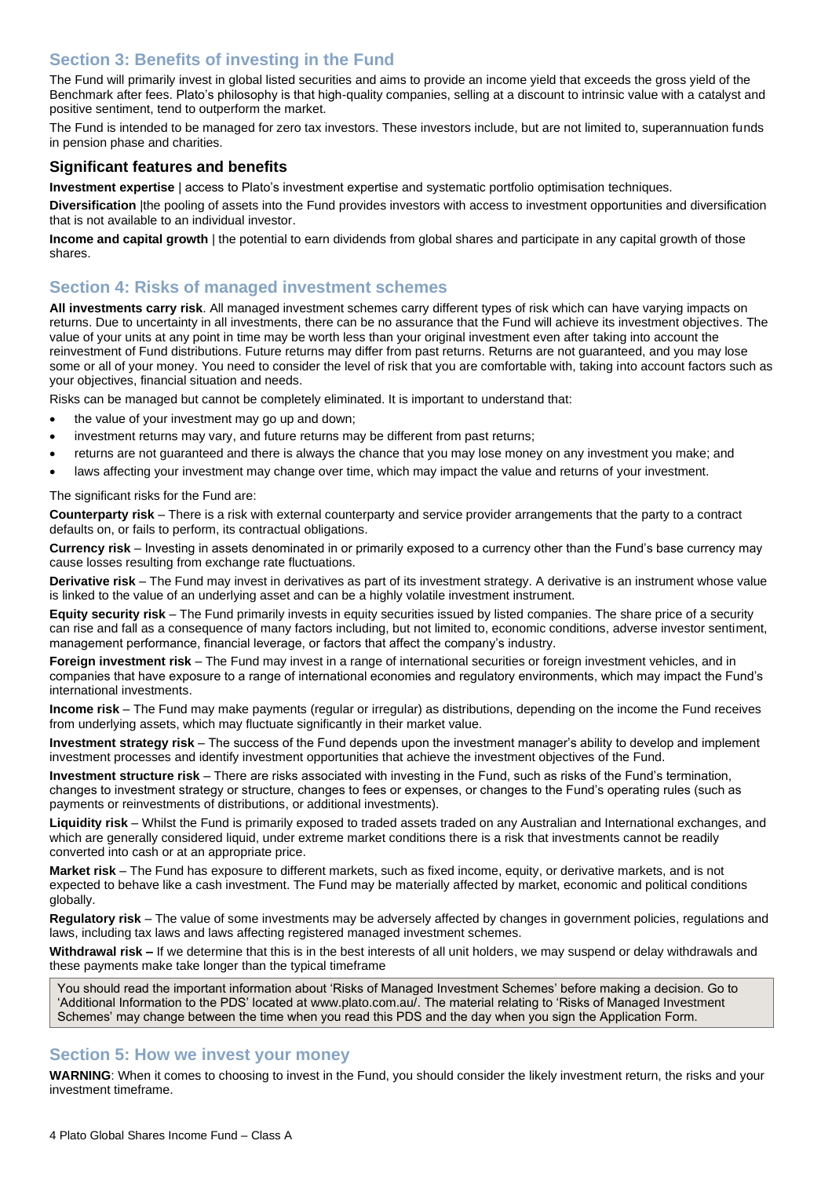# <span id="page-3-0"></span>**Section 3: Benefits of investing in the Fund**

The Fund will primarily invest in global listed securities and aims to provide an income yield that exceeds the gross yield of the Benchmark after fees. Plato's philosophy is that high-quality companies, selling at a discount to intrinsic value with a catalyst and positive sentiment, tend to outperform the market.

The Fund is intended to be managed for zero tax investors. These investors include, but are not limited to, superannuation funds in pension phase and charities.

#### **Significant features and benefits**

**Investment expertise** | access to Plato's investment expertise and systematic portfolio optimisation techniques.

**Diversification** |the pooling of assets into the Fund provides investors with access to investment opportunities and diversification that is not available to an individual investor.

**Income and capital growth** | the potential to earn dividends from global shares and participate in any capital growth of those shares.

## <span id="page-3-1"></span>**Section 4: Risks of managed investment schemes**

**All investments carry risk**. All managed investment schemes carry different types of risk which can have varying impacts on returns. Due to uncertainty in all investments, there can be no assurance that the Fund will achieve its investment objectives. The value of your units at any point in time may be worth less than your original investment even after taking into account the reinvestment of Fund distributions. Future returns may differ from past returns. Returns are not guaranteed, and you may lose some or all of your money. You need to consider the level of risk that you are comfortable with, taking into account factors such as your objectives, financial situation and needs.

Risks can be managed but cannot be completely eliminated. It is important to understand that:

- the value of your investment may go up and down;
- investment returns may vary, and future returns may be different from past returns;
- returns are not guaranteed and there is always the chance that you may lose money on any investment you make; and
- laws affecting your investment may change over time, which may impact the value and returns of your investment.

The significant risks for the Fund are:

**Counterparty risk** – There is a risk with external counterparty and service provider arrangements that the party to a contract defaults on, or fails to perform, its contractual obligations.

**Currency risk** – Investing in assets denominated in or primarily exposed to a currency other than the Fund's base currency may cause losses resulting from exchange rate fluctuations.

**Derivative risk** – The Fund may invest in derivatives as part of its investment strategy. A derivative is an instrument whose value is linked to the value of an underlying asset and can be a highly volatile investment instrument.

**Equity security risk** – The Fund primarily invests in equity securities issued by listed companies. The share price of a security can rise and fall as a consequence of many factors including, but not limited to, economic conditions, adverse investor sentiment, management performance, financial leverage, or factors that affect the company's industry.

**Foreign investment risk** – The Fund may invest in a range of international securities or foreign investment vehicles, and in companies that have exposure to a range of international economies and regulatory environments, which may impact the Fund's international investments.

**Income risk** – The Fund may make payments (regular or irregular) as distributions, depending on the income the Fund receives from underlying assets, which may fluctuate significantly in their market value.

**Investment strategy risk** – The success of the Fund depends upon the investment manager's ability to develop and implement investment processes and identify investment opportunities that achieve the investment objectives of the Fund.

**Investment structure risk** – There are risks associated with investing in the Fund, such as risks of the Fund's termination, changes to investment strategy or structure, changes to fees or expenses, or changes to the Fund's operating rules (such as payments or reinvestments of distributions, or additional investments).

**Liquidity risk** – Whilst the Fund is primarily exposed to traded assets traded on any Australian and International exchanges, and which are generally considered liquid, under extreme market conditions there is a risk that investments cannot be readily converted into cash or at an appropriate price.

**Market risk** – The Fund has exposure to different markets, such as fixed income, equity, or derivative markets, and is not expected to behave like a cash investment. The Fund may be materially affected by market, economic and political conditions globally.

**Regulatory risk** – The value of some investments may be adversely affected by changes in government policies, regulations and laws, including tax laws and laws affecting registered managed investment schemes.

**Withdrawal risk –** If we determine that this is in the best interests of all unit holders, we may suspend or delay withdrawals and these payments make take longer than the typical timeframe

You should read the important information about 'Risks of Managed Investment Schemes' before making a decision. Go to 'Additional Information to the PDS' located at [www.plato.](http://www.plato/)com.au/. The material relating to 'Risks of Managed Investment Schemes' may change between the time when you read this PDS and the day when you sign the Application Form.

## <span id="page-3-2"></span>**Section 5: How we invest your money**

**WARNING**: When it comes to choosing to invest in the Fund, you should consider the likely investment return, the risks and your investment timeframe.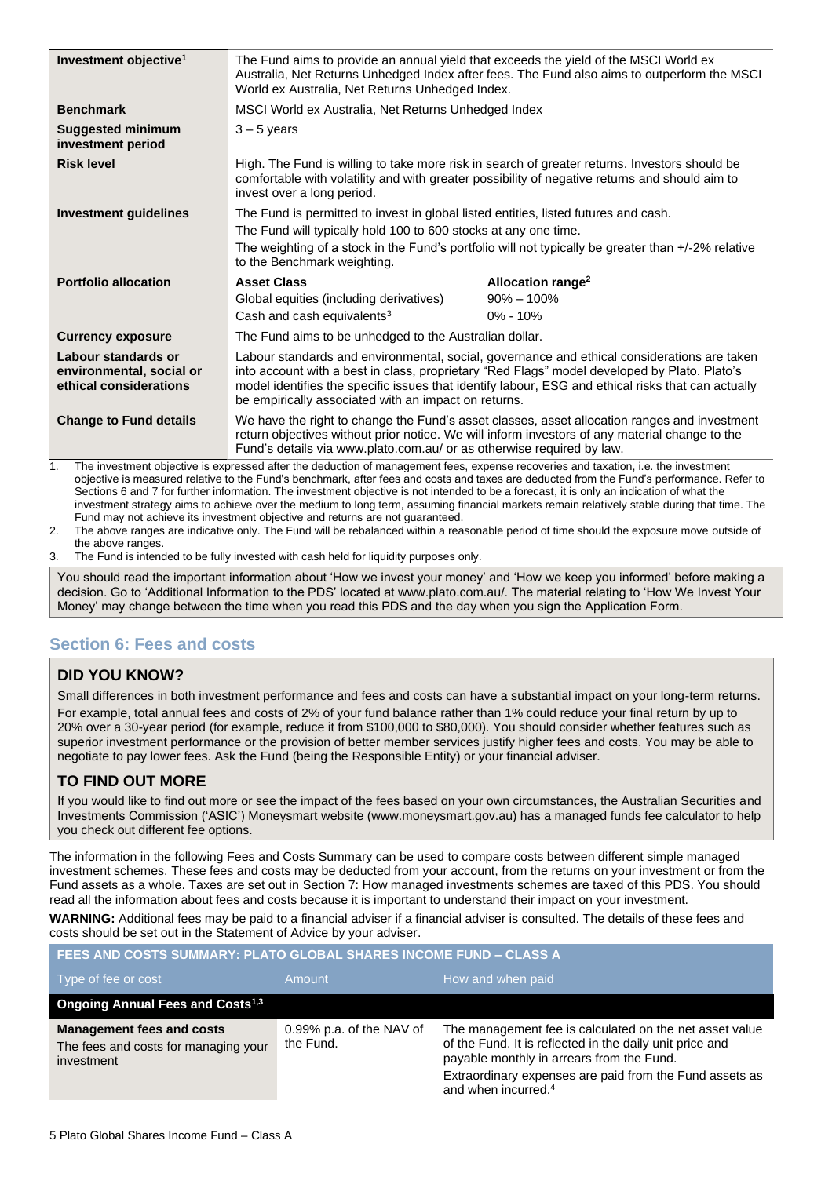| Investment objective <sup>1</sup>                                         | The Fund aims to provide an annual yield that exceeds the yield of the MSCI World ex<br>Australia, Net Returns Unhedged Index after fees. The Fund also aims to outperform the MSCI<br>World ex Australia, Net Returns Unhedged Index.                                                                                                                    |                                                                 |
|---------------------------------------------------------------------------|-----------------------------------------------------------------------------------------------------------------------------------------------------------------------------------------------------------------------------------------------------------------------------------------------------------------------------------------------------------|-----------------------------------------------------------------|
| <b>Benchmark</b>                                                          | MSCI World ex Australia, Net Returns Unhedged Index                                                                                                                                                                                                                                                                                                       |                                                                 |
| <b>Suggested minimum</b><br>investment period                             | $3 - 5$ years                                                                                                                                                                                                                                                                                                                                             |                                                                 |
| <b>Risk level</b>                                                         | High. The Fund is willing to take more risk in search of greater returns. Investors should be<br>comfortable with volatility and with greater possibility of negative returns and should aim to<br>invest over a long period.                                                                                                                             |                                                                 |
| <b>Investment guidelines</b>                                              | The Fund is permitted to invest in global listed entities, listed futures and cash.<br>The Fund will typically hold 100 to 600 stocks at any one time.<br>The weighting of a stock in the Fund's portfolio will not typically be greater than +/-2% relative<br>to the Benchmark weighting.                                                               |                                                                 |
| <b>Portfolio allocation</b>                                               | <b>Asset Class</b><br>Global equities (including derivatives)<br>Cash and cash equivalents <sup>3</sup>                                                                                                                                                                                                                                                   | Allocation range <sup>2</sup><br>$90\% - 100\%$<br>$0\% - 10\%$ |
| <b>Currency exposure</b>                                                  | The Fund aims to be unhedged to the Australian dollar.                                                                                                                                                                                                                                                                                                    |                                                                 |
| Labour standards or<br>environmental, social or<br>ethical considerations | Labour standards and environmental, social, governance and ethical considerations are taken<br>into account with a best in class, proprietary "Red Flags" model developed by Plato. Plato's<br>model identifies the specific issues that identify labour, ESG and ethical risks that can actually<br>be empirically associated with an impact on returns. |                                                                 |
| <b>Change to Fund details</b>                                             | We have the right to change the Fund's asset classes, asset allocation ranges and investment<br>return objectives without prior notice. We will inform investors of any material change to the<br>Fund's details via www.plato.com.au/ or as otherwise required by law.                                                                                   |                                                                 |

1. The investment objective is expressed after the deduction of management fees, expense recoveries and taxation, i.e. the investment objective is measured relative to the Fund's benchmark, after fees and costs and taxes are deducted from the Fund's performance. Refer to Sections 6 and 7 for further information. The investment objective is not intended to be a forecast, it is only an indication of what the investment strategy aims to achieve over the medium to long term, assuming financial markets remain relatively stable during that time. The Fund may not achieve its investment objective and returns are not guaranteed.

2. The above ranges are indicative only. The Fund will be rebalanced within a reasonable period of time should the exposure move outside of the above ranges.

3. The Fund is intended to be fully invested with cash held for liquidity purposes only.

You should read the important information about 'How we invest your money' and 'How we keep you informed' before making a decision. Go to 'Additional Information to the PDS' located at www.plato.com.au/. The material relating to 'How We Invest Your Money' may change between the time when you read this PDS and the day when you sign the Application Form.

## <span id="page-4-0"></span>**Section 6: Fees and costs**

## **DID YOU KNOW?**

Small differences in both investment performance and fees and costs can have a substantial impact on your long-term returns. For example, total annual fees and costs of 2% of your fund balance rather than 1% could reduce your final return by up to 20% over a 30-year period (for example, reduce it from \$100,000 to \$80,000). You should consider whether features such as superior investment performance or the provision of better member services justify higher fees and costs. You may be able to negotiate to pay lower fees. Ask the Fund (being the Responsible Entity) or your financial adviser.

## **TO FIND OUT MORE**

If you would like to find out more or see the impact of the fees based on your own circumstances, the Australian Securities and Investments Commission ('ASIC') Moneysmart website (www.moneysmart.gov.au) has a managed funds fee calculator to help you check out different fee options.

The information in the following Fees and Costs Summary can be used to compare costs between different simple managed investment schemes. These fees and costs may be deducted from your account, from the returns on your investment or from the Fund assets as a whole. Taxes are set out in [Section 7: How managed investments schemes are taxed](#page-6-0) of this PDS. You should read all the information about fees and costs because it is important to understand their impact on your investment.

**WARNING:** Additional fees may be paid to a financial adviser if a financial adviser is consulted. The details of these fees and costs should be set out in the Statement of Advice by your adviser.

**FEES AND COSTS SUMMARY: PLATO GLOBAL SHARES INCOME FUND – CLASS A**

| Type of fee or cost                                                                    | Amount                                | How and when paid                                                                                                                                                                                                                                              |
|----------------------------------------------------------------------------------------|---------------------------------------|----------------------------------------------------------------------------------------------------------------------------------------------------------------------------------------------------------------------------------------------------------------|
| <b>Ongoing Annual Fees and Costs<sup>1,3</sup></b>                                     |                                       |                                                                                                                                                                                                                                                                |
| <b>Management fees and costs</b><br>The fees and costs for managing your<br>investment | 0.99% p.a. of the NAV of<br>the Fund. | The management fee is calculated on the net asset value<br>of the Fund. It is reflected in the daily unit price and<br>payable monthly in arrears from the Fund.<br>Extraordinary expenses are paid from the Fund assets as<br>and when incurred. <sup>4</sup> |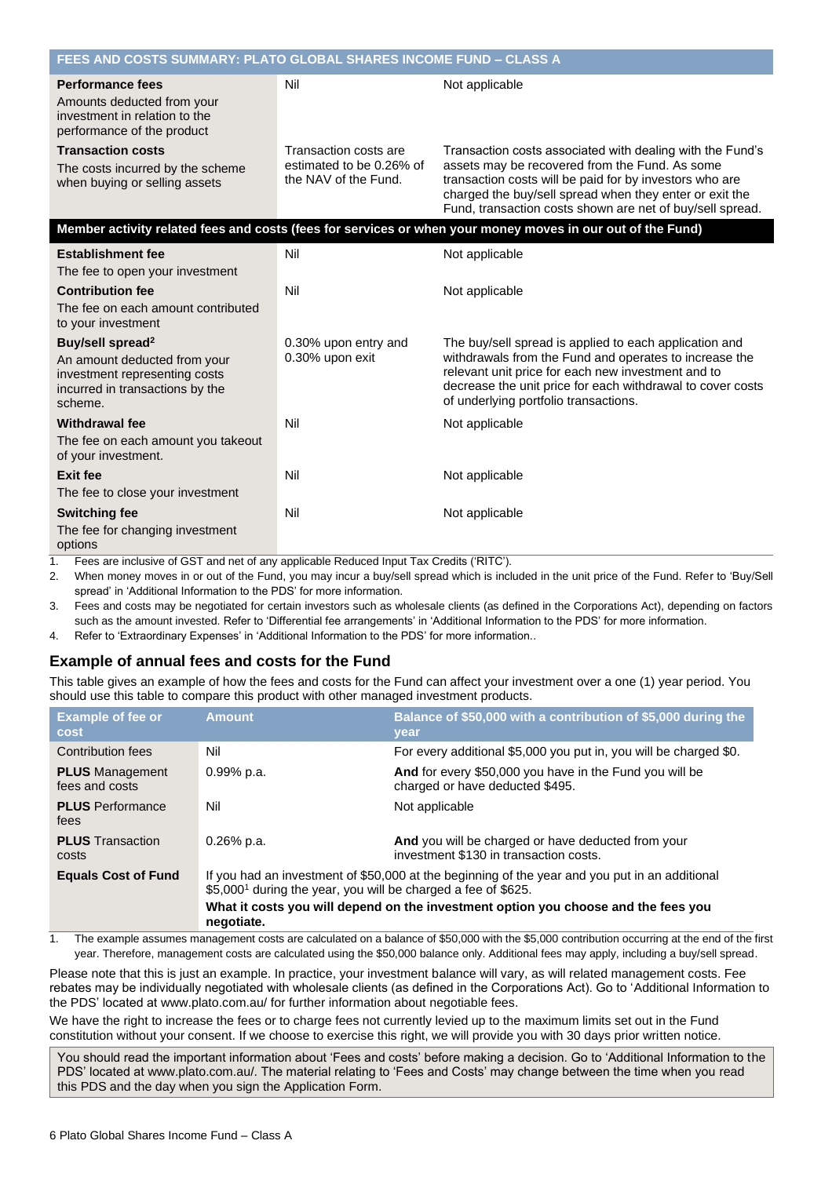| FEES AND COSTS SUMMARY: PLATO GLOBAL SHARES INCOME FUND – CLASS A                                                                           |                                                                           |                                                                                                                                                                                                                                                                                                |  |
|---------------------------------------------------------------------------------------------------------------------------------------------|---------------------------------------------------------------------------|------------------------------------------------------------------------------------------------------------------------------------------------------------------------------------------------------------------------------------------------------------------------------------------------|--|
| <b>Performance fees</b><br>Amounts deducted from your<br>investment in relation to the<br>performance of the product                        | Nil                                                                       | Not applicable                                                                                                                                                                                                                                                                                 |  |
| <b>Transaction costs</b><br>The costs incurred by the scheme<br>when buying or selling assets                                               | Transaction costs are<br>estimated to be 0.26% of<br>the NAV of the Fund. | Transaction costs associated with dealing with the Fund's<br>assets may be recovered from the Fund. As some<br>transaction costs will be paid for by investors who are<br>charged the buy/sell spread when they enter or exit the<br>Fund, transaction costs shown are net of buy/sell spread. |  |
|                                                                                                                                             |                                                                           | Member activity related fees and costs (fees for services or when your money moves in our out of the Fund)                                                                                                                                                                                     |  |
| <b>Establishment fee</b>                                                                                                                    | Nil                                                                       | Not applicable                                                                                                                                                                                                                                                                                 |  |
| The fee to open your investment                                                                                                             |                                                                           |                                                                                                                                                                                                                                                                                                |  |
| <b>Contribution fee</b>                                                                                                                     | Nil                                                                       | Not applicable                                                                                                                                                                                                                                                                                 |  |
| The fee on each amount contributed<br>to your investment                                                                                    |                                                                           |                                                                                                                                                                                                                                                                                                |  |
| Buy/sell spread <sup>2</sup><br>An amount deducted from your<br>investment representing costs<br>incurred in transactions by the<br>scheme. | 0.30% upon entry and<br>0.30% upon exit                                   | The buy/sell spread is applied to each application and<br>withdrawals from the Fund and operates to increase the<br>relevant unit price for each new investment and to<br>decrease the unit price for each withdrawal to cover costs<br>of underlying portfolio transactions.                  |  |
| <b>Withdrawal fee</b>                                                                                                                       | Nil                                                                       | Not applicable                                                                                                                                                                                                                                                                                 |  |
| The fee on each amount you takeout<br>of your investment.                                                                                   |                                                                           |                                                                                                                                                                                                                                                                                                |  |
| <b>Exit fee</b>                                                                                                                             | Nil                                                                       | Not applicable                                                                                                                                                                                                                                                                                 |  |
| The fee to close your investment                                                                                                            |                                                                           |                                                                                                                                                                                                                                                                                                |  |
| <b>Switching fee</b><br>The fee for changing investment<br>options                                                                          | Nil                                                                       | Not applicable                                                                                                                                                                                                                                                                                 |  |

1. Fees are inclusive of GST and net of any applicable Reduced Input Tax Credits ('RITC').

2. When money moves in or out of the Fund, you may incur a buy/sell spread which is included in the unit price of the Fund. Refer to 'Buy/Sell spread' in 'Additional Information to the PDS' for more information.

- 3. Fees and costs may be negotiated for certain investors such as wholesale clients (as defined in the Corporations Act), depending on factors such as the amount invested. Refer to 'Differential fee arrangements' in 'Additional Information to the PDS' for more information.
- 4. Refer to 'Extraordinary Expenses' in 'Additional Information to the PDS' for more information..

## **Example of annual fees and costs for the Fund**

This table gives an example of how the fees and costs for the Fund can affect your investment over a one (1) year period. You should use this table to compare this product with other managed investment products.

| <b>Example of fee or</b><br><b>cost</b>  | <b>Amount</b>                                                                                                                                                               | Balance of \$50,000 with a contribution of \$5,000 during the<br>year                        |
|------------------------------------------|-----------------------------------------------------------------------------------------------------------------------------------------------------------------------------|----------------------------------------------------------------------------------------------|
| Contribution fees                        | Nil                                                                                                                                                                         | For every additional \$5,000 you put in, you will be charged \$0.                            |
| <b>PLUS</b> Management<br>fees and costs | 0.99% p.a.                                                                                                                                                                  | And for every \$50,000 you have in the Fund you will be<br>charged or have deducted \$495.   |
| <b>PLUS</b> Performance<br>fees          | Nil                                                                                                                                                                         | Not applicable                                                                               |
| <b>PLUS</b> Transaction<br>costs         | $0.26\%$ p.a.                                                                                                                                                               | And you will be charged or have deducted from your<br>investment \$130 in transaction costs. |
| <b>Equals Cost of Fund</b>               | If you had an investment of \$50,000 at the beginning of the year and you put in an additional<br>\$5,000 <sup>1</sup> during the year, you will be charged a fee of \$625. |                                                                                              |
|                                          | What it costs you will depend on the investment option you choose and the fees you<br>negotiate.                                                                            |                                                                                              |

1. The example assumes management costs are calculated on a balance of \$50,000 with the \$5,000 contribution occurring at the end of the first year. Therefore, management costs are calculated using the \$50,000 balance only. Additional fees may apply, including a buy/sell spread.

Please note that this is just an example. In practice, your investment balance will vary, as will related management costs. Fee rebates may be individually negotiated with wholesale clients (as defined in the Corporations Act). Go to 'Additional Information to the PDS' located at www.plato.com.au/ for further information about negotiable fees.

We have the right to increase the fees or to charge fees not currently levied up to the maximum limits set out in the Fund constitution without your consent. If we choose to exercise this right, we will provide you with 30 days prior written notice.

You should read the important information about 'Fees and costs' before making a decision. Go to 'Additional Information to the PDS' located at www.plato.com.au/. The material relating to 'Fees and Costs' may change between the time when you read this PDS and the day when you sign the Application Form.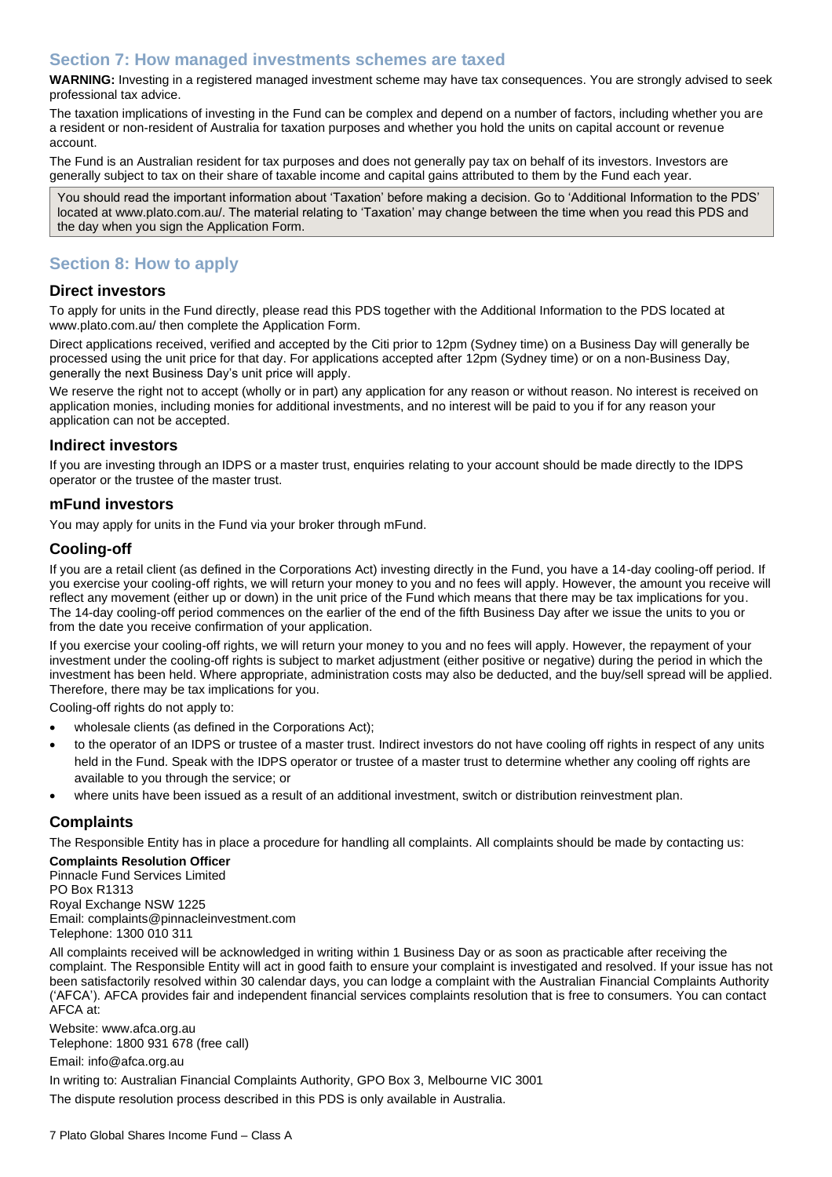## <span id="page-6-0"></span>**Section 7: How managed investments schemes are taxed**

**WARNING:** Investing in a registered managed investment scheme may have tax consequences. You are strongly advised to seek professional tax advice.

The taxation implications of investing in the Fund can be complex and depend on a number of factors, including whether you are a resident or non-resident of Australia for taxation purposes and whether you hold the units on capital account or revenue account.

The Fund is an Australian resident for tax purposes and does not generally pay tax on behalf of its investors. Investors are generally subject to tax on their share of taxable income and capital gains attributed to them by the Fund each year.

You should read the important information about 'Taxation' before making a decision. Go to 'Additional Information to the PDS' located at www.plato.com.au/. The material relating to 'Taxation' may change between the time when you read this PDS and the day when you sign the Application Form.

# <span id="page-6-1"></span>**Section 8: How to apply**

#### **Direct investors**

To apply for units in the Fund directly, please read this PDS together with the Additional Information to the PDS located at www.plato.com.au/ then complete the Application Form.

Direct applications received, verified and accepted by the Citi prior to 12pm (Sydney time) on a Business Day will generally be processed using the unit price for that day. For applications accepted after 12pm (Sydney time) or on a non-Business Day, generally the next Business Day's unit price will apply.

We reserve the right not to accept (wholly or in part) any application for any reason or without reason. No interest is received on application monies, including monies for additional investments, and no interest will be paid to you if for any reason your application can not be accepted.

#### **Indirect investors**

If you are investing through an IDPS or a master trust, enquiries relating to your account should be made directly to the IDPS operator or the trustee of the master trust.

## **mFund investors**

You may apply for units in the Fund via your broker through mFund.

## **Cooling-off**

If you are a retail client (as defined in the Corporations Act) investing directly in the Fund, you have a 14-day cooling-off period. If you exercise your cooling-off rights, we will return your money to you and no fees will apply. However, the amount you receive will reflect any movement (either up or down) in the unit price of the Fund which means that there may be tax implications for you. The 14-day cooling-off period commences on the earlier of the end of the fifth Business Day after we issue the units to you or from the date you receive confirmation of your application.

If you exercise your cooling-off rights, we will return your money to you and no fees will apply. However, the repayment of your investment under the cooling-off rights is subject to market adjustment (either positive or negative) during the period in which the investment has been held. Where appropriate, administration costs may also be deducted, and the buy/sell spread will be applied. Therefore, there may be tax implications for you.

Cooling-off rights do not apply to:

- wholesale clients (as defined in the Corporations Act);
- to the operator of an IDPS or trustee of a master trust. Indirect investors do not have cooling off rights in respect of any units held in the Fund. Speak with the IDPS operator or trustee of a master trust to determine whether any cooling off rights are available to you through the service; or
- where units have been issued as a result of an additional investment, switch or distribution reinvestment plan.

## **Complaints**

The Responsible Entity has in place a procedure for handling all complaints. All complaints should be made by contacting us:

#### **Complaints Resolution Officer**

Pinnacle Fund Services Limited PO Box R1313 Royal Exchange NSW 1225 Email: complaints@pinnacleinvestment.com Telephone: 1300 010 311

All complaints received will be acknowledged in writing within 1 Business Day or as soon as practicable after receiving the complaint. The Responsible Entity will act in good faith to ensure your complaint is investigated and resolved. If your issue has not been satisfactorily resolved within 30 calendar days, you can lodge a complaint with the Australian Financial Complaints Authority ('AFCA'). AFCA provides fair and independent financial services complaints resolution that is free to consumers. You can contact AFCA at:

Website: www.afca.org.au Telephone: 1800 931 678 (free call)

Email: info@afca.org.au

In writing to: Australian Financial Complaints Authority, GPO Box 3, Melbourne VIC 3001

The dispute resolution process described in this PDS is only available in Australia.